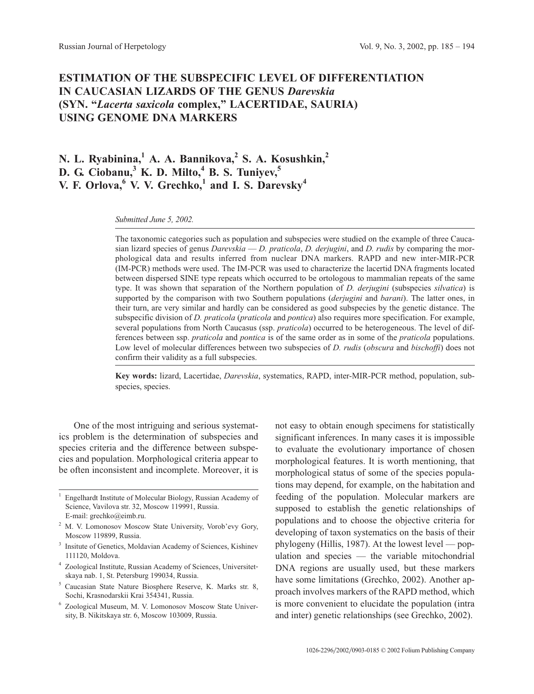# **ESTIMATION OF THE SUBSPECIFIC LEVEL OF DIFFERENTIATION IN CAUCASIAN LIZARDS OF THE GENUS** *Darevskia* **(SYN. "***Lacerta saxicola* **complex," LACERTIDAE, SAURIA) USING GENOME DNA MARKERS**

**N. L. Ryabinina,<sup>1</sup> A. A. Bannikova,<sup>2</sup> S. A. Kosushkin,<sup>2</sup> D. G. Ciobanu,<sup>3</sup> K. D. Milto,<sup>4</sup> B. S. Tuniyev,<sup>5</sup> V. F. Orlova,<sup>6</sup> V. V. Grechko,<sup>1</sup> and I. S. Darevsky<sup>4</sup>**

*Submitted June 5, 2002.*

The taxonomic categories such as population and subspecies were studied on the example of three Caucasian lizard species of genus *Darevskia* — *D. praticola*, *D. derjugini*, and *D. rudis* by comparing the morphological data and results inferred from nuclear DNA markers. RAPD and new inter-MIR-PCR (IM-PCR) methods were used. The IM-PCR was used to characterize the lacertid DNA fragments located between dispersed SINE type repeats which occurred to be ortologous to mammalian repeats of the same type. It was shown that separation of the Northern population of *D. derjugini* (subspecies *silvatica*) is supported by the comparison with two Southern populations (*derjugini* and *barani*). The latter ones, in their turn, are very similar and hardly can be considered as good subspecies by the genetic distance. The subspecific division of *D. praticola* (*praticola* and *pontica*) also requires more specification. For example, several populations from North Caucasus (ssp. *praticola*) occurred to be heterogeneous. The level of differences between ssp. *praticola* and *pontica* is of the same order as in some of the *praticola* populations. Low level of molecular differences between two subspecies of *D. rudis* (*obscura* and *bischoffi*) does not confirm their validity as a full subspecies.

**Key words:** lizard, Lacertidae, *Darevskia*, systematics, RAPD, inter-MIR-PCR method, population, subspecies, species.

One of the most intriguing and serious systematics problem is the determination of subspecies and species criteria and the difference between subspecies and population. Morphological criteria appear to be often inconsistent and incomplete. Moreover, it is

<sup>5</sup> Caucasian State Nature Biosphere Reserve, K. Marks str. 8, Sochi, Krasnodarskii Krai 354341, Russia.

not easy to obtain enough specimens for statistically significant inferences. In many cases it is impossible to evaluate the evolutionary importance of chosen morphological features. It is worth mentioning, that morphological status of some of the species populations may depend, for example, on the habitation and feeding of the population. Molecular markers are supposed to establish the genetic relationships of populations and to choose the objective criteria for developing of taxon systematics on the basis of their phylogeny (Hillis, 1987). At the lowest level — population and species — the variable mitochondrial DNA regions are usually used, but these markers have some limitations (Grechko, 2002). Another approach involves markers of the RAPD method, which is more convenient to elucidate the population (intra and inter) genetic relationships (see Grechko, 2002).

<sup>&</sup>lt;sup>1</sup> Engelhardt Institute of Molecular Biology, Russian Academy of Science, Vavilova str. 32, Moscow 119991, Russia. E-mail: grechko@eimb.ru.

<sup>2</sup> M. V. Lomonosov Moscow State University, Vorob'evy Gory, Moscow 119899, Russia.

Insitute of Genetics, Moldavian Academy of Sciences, Kishinev 111120, Moldova.

<sup>4</sup> Zoological Institute, Russian Academy of Sciences, Universitetskaya nab. 1, St. Petersburg 199034, Russia.

<sup>6</sup> Zoological Museum, M. V. Lomonosov Moscow State University, B. Nikitskaya str. 6, Moscow 103009, Russia.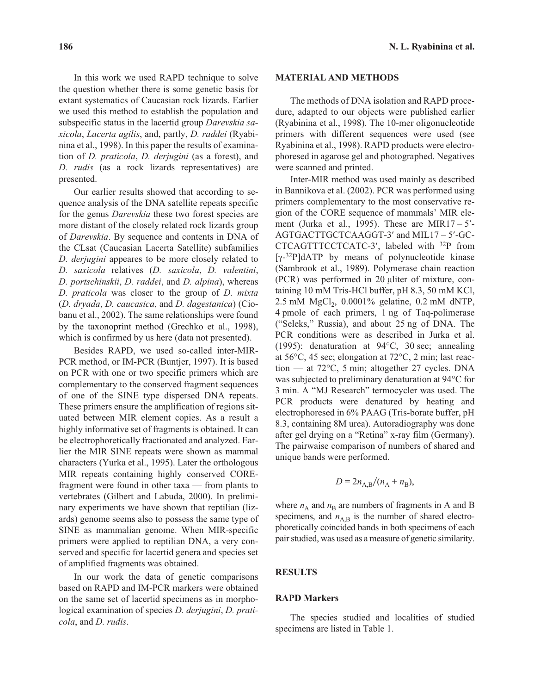In this work we used RAPD technique to solve the question whether there is some genetic basis for extant systematics of Caucasian rock lizards. Earlier we used this method to establish the population and subspecific status in the lacertid group *Darevskia saxicola*, *Lacerta agilis*, and, partly, *D. raddei* (Ryabinina et al., 1998). In this paper the results of examination of *D. praticola*, *D. derjugini* (as a forest), and *D. rudis* (as a rock lizards representatives) are presented.

Our earlier results showed that according to sequence analysis of the DNA satellite repeats specific for the genus *Darevskia* these two forest species are more distant of the closely related rock lizards group of *Darevskia*. By sequence and contents in DNA of the CLsat (Caucasian Lacerta Satellite) subfamilies *D. derjugini* appeares to be more closely related to *D. saxicola* relatives (*D. saxicola*, *D. valentini*, *D. portschinskii*, *D. raddei*, and *D. alpina*), whereas *D. praticola* was closer to the group of *D. mixta* (*D. dryada*, *D. caucasica*, and *D. dagestanica*) (Ciobanu et al., 2002). The same relationships were found by the taxonoprint method (Grechko et al., 1998), which is confirmed by us here (data not presented).

Besides RAPD, we used so-called inter-MIR-PCR method, or IM-PCR (Buntjer, 1997). It is based on PCR with one or two specific primers which are complementary to the conserved fragment sequences of one of the SINE type dispersed DNA repeats. These primers ensure the amplification of regions situated between MIR element copies. As a result a highly informative set of fragments is obtained. It can be electrophoretically fractionated and analyzed. Earlier the MIR SINE repeats were shown as mammal characters (Yurka et al., 1995). Later the orthologous MIR repeats containing highly conserved COREfragment were found in other taxa — from plants to vertebrates (Gilbert and Labuda, 2000). In preliminary experiments we have shown that reptilian (lizards) genome seems also to possess the same type of SINE as mammalian genome. When MIR-specific primers were applied to reptilian DNA, a very conserved and specific for lacertid genera and species set of amplified fragments was obtained.

In our work the data of genetic comparisons based on RAPD and IM-PCR markers were obtained on the same set of lacertid specimens as in morphological examination of species *D. derjugini*, *D. praticola*, and *D. rudis*.

#### **MATERIAL AND METHODS**

The methods of DNA isolation and RAPD procedure, adapted to our objects were published earlier (Ryabinina et al., 1998). The 10-mer oligonucleotide primers with different sequences were used (see Ryabinina et al., 1998). RAPD products were electrophoresed in agarose gel and photographed. Negatives were scanned and printed.

Inter-MIR method was used mainly as described in Bannikova et al. (2002). PCR was performed using primers complementary to the most conservative region of the CORE sequence of mammals' MIR element (Jurka et al., 1995). These are MIR17 –  $5'$ -AGTGACTTGCTCAAGGT-3' and MIL17 - 5'-GC-CTCAGTTTCCTCATC-3, labeled with 32P from  $[\gamma$ -32P]dATP by means of polynucleotide kinase (Sambrook et al., 1989). Polymerase chain reaction  $(PCR)$  was performed in 20 µliter of mixture, containing 10 mM Tris-HCl buffer, pH 8.3, 50 mM KCl, 2.5 mM MgCl<sub>2</sub>, 0.0001% gelatine, 0.2 mM dNTP, 4 pmole of each primers, 1 ng of Taq-polimerase ("Seleks," Russia), and about 25 ng of DNA. The PCR conditions were as described in Jurka et al. (1995): denaturation at 94°C, 30 sec; annealing at 56°C, 45 sec; elongation at 72°C, 2 min; last reaction — at 72°C, 5 min; altogether 27 cycles. DNA was subjected to preliminary denaturation at 94°C for 3 min. A "MJ Research" termocycler was used. The PCR products were denatured by heating and electrophoresed in 6% PAAG (Tris-borate buffer, pH 8.3, containing 8M urea). Autoradiography was done after gel drying on a "Retina" x-ray film (Germany). The pairwaise comparison of numbers of shared and unique bands were performed.

$$
D = 2n_{\rm A,B}/(n_{\rm A} + n_{\rm B}),
$$

where  $n_A$  and  $n_B$  are numbers of fragments in A and B specimens, and  $n_{AB}$  is the number of shared electrophoretically coincided bands in both specimens of each pair studied, was used as a measure of genetic similarity.

## **RESULTS**

## **RAPD Markers**

The species studied and localities of studied specimens are listed in Table 1.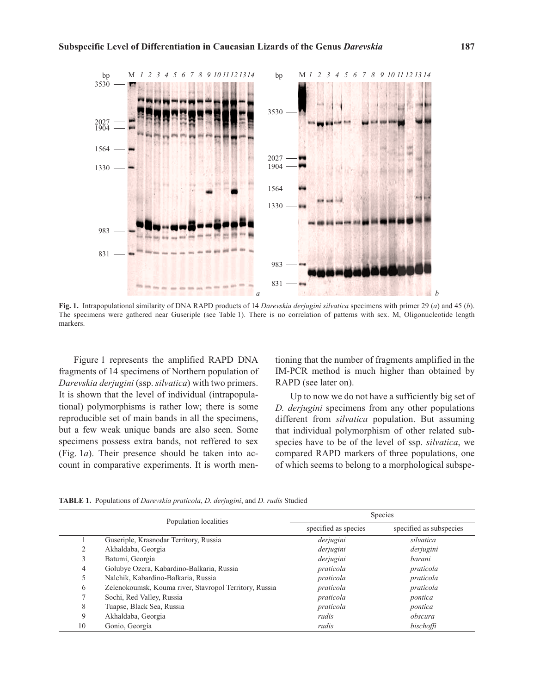

**Fig. 1.** Intrapopulational similarity of DNA RAPD products of 14 *Darevskia derjugini silvatica* specimens with primer 29 (*a*) and 45 (*b*). The specimens were gathered near Guseriple (see Table 1). There is no correlation of patterns with sex. M, Oligonucleotide length markers.

Figure 1 represents the amplified RAPD DNA fragments of 14 specimens of Northern population of *Darevskia derjugini* (ssp. *silvatica*) with two primers. It is shown that the level of individual (intrapopulational) polymorphisms is rather low; there is some reproducible set of main bands in all the specimens, but a few weak unique bands are also seen. Some specimens possess extra bands, not reffered to sex (Fig. 1*a*). Their presence should be taken into account in comparative experiments. It is worth mentioning that the number of fragments amplified in the IM-PCR method is much higher than obtained by RAPD (see later on).

Up to now we do not have a sufficiently big set of *D. derjugini* specimens from any other populations different from *silvatica* population. But assuming that individual polymorphism of other related subspecies have to be of the level of ssp. *silvatica*, we compared RAPD markers of three populations, one of which seems to belong to a morphological subspe-

|    | Population localities                                  | Species              |                         |
|----|--------------------------------------------------------|----------------------|-------------------------|
|    |                                                        | specified as species | specified as subspecies |
|    | Guseriple, Krasnodar Territory, Russia                 | derjugini            | silvatica               |
| 2  | Akhaldaba, Georgia                                     | derjugini            | derjugini               |
| 3  | Batumi, Georgia                                        | derjugini            | barani                  |
| 4  | Golubye Ozera, Kabardino-Balkaria, Russia              | praticola            | praticola               |
| 5  | Nalchik, Kabardino-Balkaria, Russia                    | praticola            | praticola               |
| 6  | Zelenokoumsk, Kouma river, Stavropol Territory, Russia | praticola            | praticola               |
|    | Sochi, Red Valley, Russia                              | praticola            | pontica                 |
| 8  | Tuapse, Black Sea, Russia                              | praticola            | pontica                 |
| 9  | Akhaldaba, Georgia                                     | rudis                | obscura                 |
| 10 | Gonio, Georgia                                         | rudis                | bischoffi               |

**TABLE 1.** Populations of *Darevskia praticola*, *D. derjugini*, and *D. rudis* Studied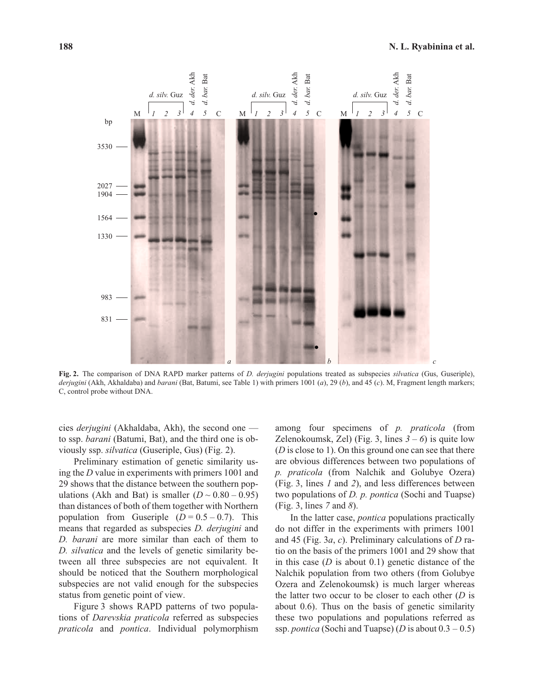

**Fig. 2.** The comparison of DNA RAPD marker patterns of *D. derjugini* populations treated as subspecies *silvatica* (Gus, Guseriple), *derjugini* (Akh, Akhaldaba) and *barani* (Bat, Batumi, see Table 1) with primers 1001 (*a*), 29 (*b*), and 45 (*c*). M, Fragment length markers; C, control probe without DNA.

cies *derjugini* (Akhaldaba, Akh), the second one to ssp. *barani* (Batumi, Bat), and the third one is obviously ssp. *silvatica* (Guseriple, Gus) (Fig. 2).

Preliminary estimation of genetic similarity using the *D* value in experiments with primers 1001 and 29 shows that the distance between the southern populations (Akh and Bat) is smaller  $(D \sim 0.80 - 0.95)$ than distances of both of them together with Northern population from Guseriple  $(D = 0.5 - 0.7)$ . This means that regarded as subspecies *D. derjugini* and *D. barani* are more similar than each of them to *D. silvatica* and the levels of genetic similarity between all three subspecies are not equivalent. It should be noticed that the Southern morphological subspecies are not valid enough for the subspecies status from genetic point of view.

Figure 3 shows RAPD patterns of two populations of *Darevskia praticola* referred as subspecies *praticola* and *pontica*. Individual polymorphism among four specimens of *p. praticola* (from Zelenokoumsk, Zel) (Fig. 3, lines  $3-6$ ) is quite low (*D* is close to 1). On this ground one can see that there are obvious differences between two populations of *p. praticola* (from Nalchik and Golubye Ozera) (Fig. 3, lines *1* and *2*), and less differences between two populations of *D. p. pontica* (Sochi and Tuapse) (Fig. 3, lines *7* and *8*).

In the latter case, *pontica* populations practically do not differ in the experiments with primers 1001 and 45 (Fig. 3*a*, *c*). Preliminary calculations of *D* ratio on the basis of the primers 1001 and 29 show that in this case (*D* is about 0.1) genetic distance of the Nalchik population from two others (from Golubye Ozera and Zelenokoumsk) is much larger whereas the latter two occur to be closer to each other (*D* is about 0.6). Thus on the basis of genetic similarity these two populations and populations referred as ssp. *pontica* (Sochi and Tuapse) (*D* is about  $0.3 - 0.5$ )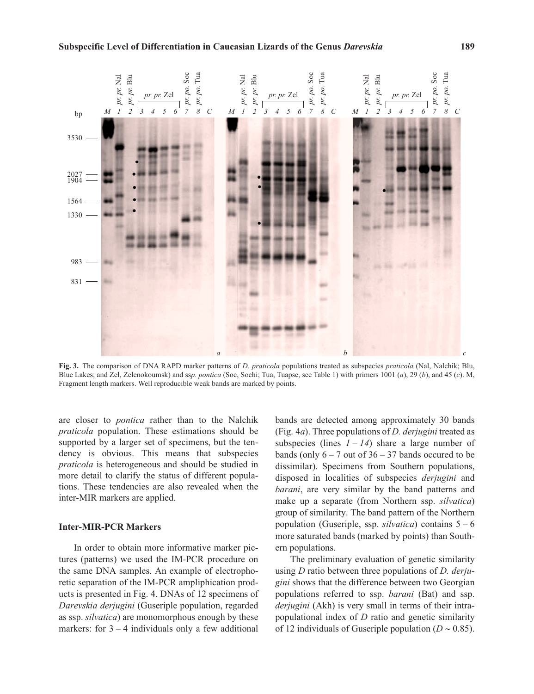

**Fig. 3.** The comparison of DNA RAPD marker patterns of *D. praticola* populations treated as subspecies *praticola* (Nal, Nalchik; Blu, Blue Lakes; and Zel, Zelenokoumsk) and ss*p. pontica* (Soc, Sochi; Tua, Tuapse, see Table 1) with primers 1001 (*a*), 29 (*b*), and 45 (*c*). M, Fragment length markers. Well reproducible weak bands are marked by points.

are closer to *pontica* rather than to the Nalchik *praticola* population. These estimations should be supported by a larger set of specimens, but the tendency is obvious. This means that subspecies *praticola* is heterogeneous and should be studied in more detail to clarify the status of different populations. These tendencies are also revealed when the inter-MIR markers are applied.

#### **Inter-MIR-PCR Markers**

In order to obtain more informative marker pictures (patterns) we used the IM-PCR procedure on the same DNA samples. An example of electrophoretic separation of the IM-PCR ampliphication products is presented in Fig. 4. DNAs of 12 specimens of *Darevskia derjugini* (Guseriple population, regarded as ssp. *silvatica*) are monomorphous enough by these markers: for  $3 - 4$  individuals only a few additional

bands are detected among approximately 30 bands (Fig. 4*a*). Three populations of *D. derjugini* treated as subspecies (lines  $1 - 14$ ) share a large number of bands (only  $6 - 7$  out of  $36 - 37$  bands occured to be dissimilar). Specimens from Southern populations, disposed in localities of subspecies *derjugini* and *barani*, are very similar by the band patterns and make up a separate (from Northern ssp. *silvatica*) group of similarity. The band pattern of the Northern population (Guseriple, ssp.  $silvatica$ ) contains  $5-6$ more saturated bands (marked by points) than Southern populations.

The preliminary evaluation of genetic similarity using *D* ratio between three populations of *D. derjugini* shows that the difference between two Georgian populations referred to ssp. *barani* (Bat) and ssp. *derjugini* (Akh) is very small in terms of their intrapopulational index of *D* ratio and genetic similarity of 12 individuals of Guseriple population ( $D \sim 0.85$ ).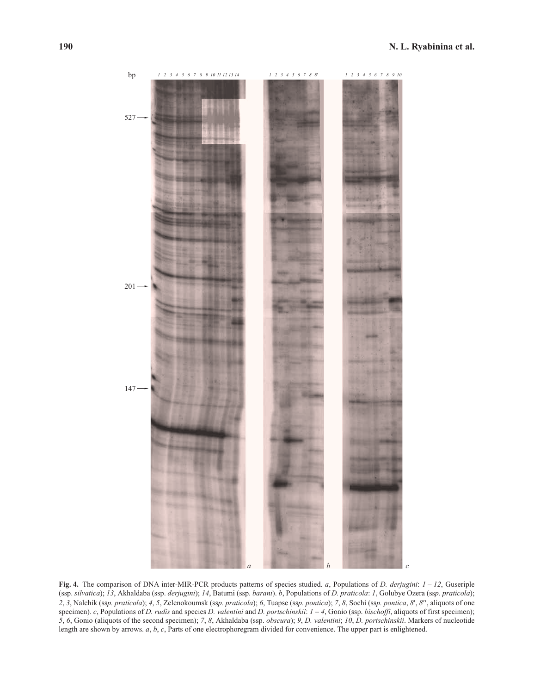

**Fig. 4.** The comparison of DNA inter-MIR-PCR products patterns of species studied. *a*, Populations of *D. derjugini*: *1 – 12*, Guseriple (ssp. *silvatica*); *13*, Akhaldaba (ssp. *derjugini*); *14*, Batumi (ssp. *barani*). *b*, Populations of *D. praticola*: *1*, Golubye Ozera (ss*p. praticola*); 2, 3, Nalchik (ssp. praticola); 4, 5, Zelenokoumsk (ssp. praticola); 6, Tuapse (ssp. pontica); 7, 8, Sochi (ssp. pontica, 8', 8", aliquots of one specimen). *c*, Populations of *D. rudis* and species *D. valentini* and *D. portschinskii*: *1–4*, Gonio (ssp. *bischoffi*, aliquots of first specimen); *5*, *6*, Gonio (aliquots of the second specimen); *7*, *8*, Akhaldaba (ssp. *obscura*); *9*, *D. valentini*; *10*, *D. portschinskii*. Markers of nucleotide length are shown by arrows. *a*, *b*, *c*, Parts of one electrophoregram divided for convenience. The upper part is enlightened.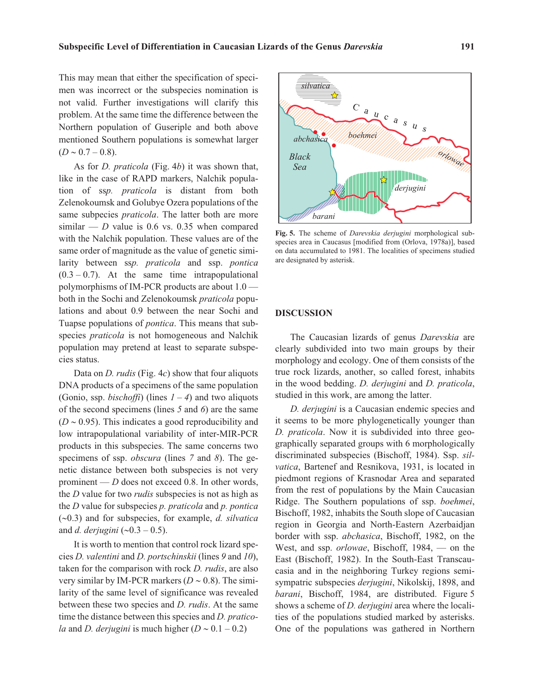This may mean that either the specification of specimen was incorrect or the subspecies nomination is not valid. Further investigations will clarify this problem. At the same time the difference between the Northern population of Guseriple and both above mentioned Southern populations is somewhat larger  $(D \sim 0.7 - 0.8).$ 

As for *D. praticola* (Fig. 4*b*) it was shown that, like in the case of RAPD markers, Nalchik population of ss*p. praticola* is distant from both Zelenokoumsk and Golubye Ozera populations of the same subpecies *praticola*. The latter both are more similar —  $D$  value is 0.6 vs. 0.35 when compared with the Nalchik population. These values are of the same order of magnitude as the value of genetic similarity between ss*p. praticola* and ssp. *pontica*  $(0.3 - 0.7)$ . At the same time intrapopulational polymorphisms of IM-PCR products are about 1.0 both in the Sochi and Zelenokoumsk *praticola* populations and about 0.9 between the near Sochi and Tuapse populations of *pontica*. This means that subspecies *praticola* is not homogeneous and Nalchik population may pretend at least to separate subspecies status.

Data on *D. rudis* (Fig. 4*c*) show that four aliquots DNA products of a specimens of the same population (Gonio, ssp. *bischoffi*) (lines  $1 - 4$ ) and two aliquots of the second specimens (lines *5* and *6*) are the same  $(D \sim 0.95)$ . This indicates a good reproducibility and low intrapopulational variability of inter-MIR-PCR products in this subspecies. The same concerns two specimens of ssp. *obscura* (lines *7* and *8*). The genetic distance between both subspecies is not very prominent — *D* does not exceed 0.8. In other words, the *D* value for two *rudis* subspecies is not as high as the *D* value for subspecies *p. praticola* and *p. pontica* (-0.3) and for subspecies, for example, *d. silvatica* and *d. derjugini* (~0.3 – 0.5).

It is worth to mention that control rock lizard species *D. valentini* and *D. portschinskii* (lines *9* and *10*), taken for the comparison with rock *D. rudis*, are also very similar by IM-PCR markers  $(D \sim 0.8)$ . The similarity of the same level of significance was revealed between these two species and *D. rudis*. At the same time the distance between this species and *D. praticola* and *D. derjugini* is much higher  $(D \sim 0.1 - 0.2)$ 



**Fig. 5.** The scheme of *Darevskia derjugini* morphological subspecies area in Caucasus [modified from (Orlova, 1978a)], based on data accumulated to 1981. The localities of specimens studied are designated by asterisk.

#### **DISCUSSION**

The Caucasian lizards of genus *Darevskia* are clearly subdivided into two main groups by their morphology and ecology. One of them consists of the true rock lizards, another, so called forest, inhabits in the wood bedding. *D. derjugini* and *D. praticola*, studied in this work, are among the latter.

*D. derjugini* is a Caucasian endemic species and it seems to be more phylogenetically younger than *D. praticola*. Now it is subdivided into three geographically separated groups with 6 morphologically discriminated subspecies (Bischoff, 1984). Ssp. *silvatica*, Bartenef and Resnikova, 1931, is located in piedmont regions of Krasnodar Area and separated from the rest of populations by the Main Caucasian Ridge. The Southern populations of ssp. *boehmei*, Bischoff, 1982, inhabits the South slope of Caucasian region in Georgia and North-Eastern Azerbaidjan border with ssp. *abchasica*, Bischoff, 1982, on the West, and ssp. *orlowae*, Bischoff, 1984, — on the East (Bischoff, 1982). In the South-East Transcaucasia and in the neighboring Turkey regions semisympatric subspecies *derjugini*, Nikolskij, 1898, and *barani*, Bischoff, 1984, are distributed. Figure 5 shows a scheme of *D. derjugini* area where the localities of the populations studied marked by asterisks. One of the populations was gathered in Northern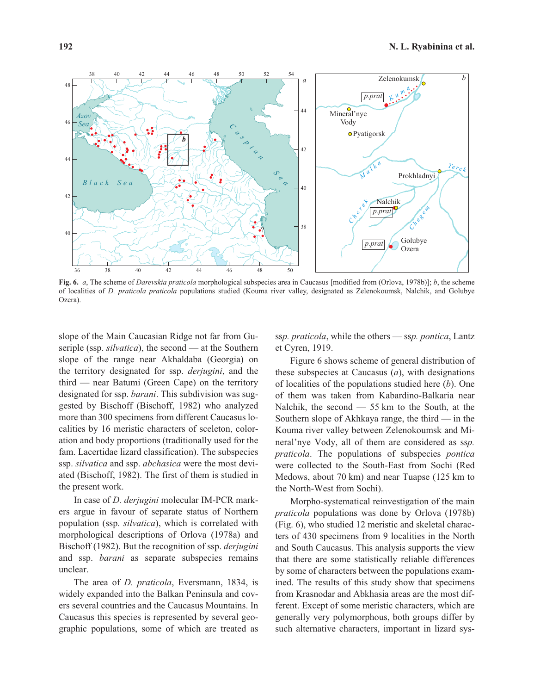

**Fig. 6.** *a*, The scheme of *Darevskia praticola* morphological subspecies area in Caucasus [modified from (Orlova, 1978b)]; *b*, the scheme of localities of *D. praticola praticola* populations studied (Kouma river valley, designated as Zelenokoumsk, Nalchik, and Golubye Ozera).

slope of the Main Caucasian Ridge not far from Guseriple (ssp. *silvatica*), the second — at the Southern slope of the range near Akhaldaba (Georgia) on the territory designated for ssp. *derjugini*, and the third — near Batumi (Green Cape) on the territory designated for ssp. *barani*. This subdivision was suggested by Bischoff (Bischoff, 1982) who analyzed more than 300 specimens from different Caucasus localities by 16 meristic characters of sceleton, coloration and body proportions (traditionally used for the fam. Lacertidae lizard classification). The subspecies ssp. *silvatica* and ssp. *abchasica* were the most deviated (Bischoff, 1982). The first of them is studied in the present work.

In case of *D. derjugini* molecular IM-PCR markers argue in favour of separate status of Northern population (ssp. *silvatica*), which is correlated with morphological descriptions of Orlova (1978a) and Bischoff (1982). But the recognition of ssp. *derjugini* and ssp. *barani* as separate subspecies remains unclear.

The area of *D. praticola*, Eversmann, 1834, is widely expanded into the Balkan Peninsula and covers several countries and the Caucasus Mountains. In Caucasus this species is represented by several geographic populations, some of which are treated as ss*p. praticola*, while the others — ss*p. pontica*, Lantz et Cyren, 1919.

Figure 6 shows scheme of general distribution of these subspecies at Caucasus (*a*), with designations of localities of the populations studied here (*b*). One of them was taken from Kabardino-Balkaria near Nalchik, the second — 55 km to the South, at the Southern slope of Akhkaya range, the third  $-$  in the Kouma river valley between Zelenokoumsk and Mineral'nye Vody, all of them are considered as ss*p. praticola*. The populations of subspecies *pontica* were collected to the South-East from Sochi (Red Medows, about 70 km) and near Tuapse (125 km to the North-West from Sochi).

Morpho-systematical reinvestigation of the main *praticola* populations was done by Orlova (1978b) (Fig. 6), who studied 12 meristic and skeletal characters of 430 specimens from 9 localities in the North and South Caucasus. This analysis supports the view that there are some statistically reliable differences by some of characters between the populations examined. The results of this study show that specimens from Krasnodar and Abkhasia areas are the most different. Except of some meristic characters, which are generally very polymorphous, both groups differ by such alternative characters, important in lizard sys-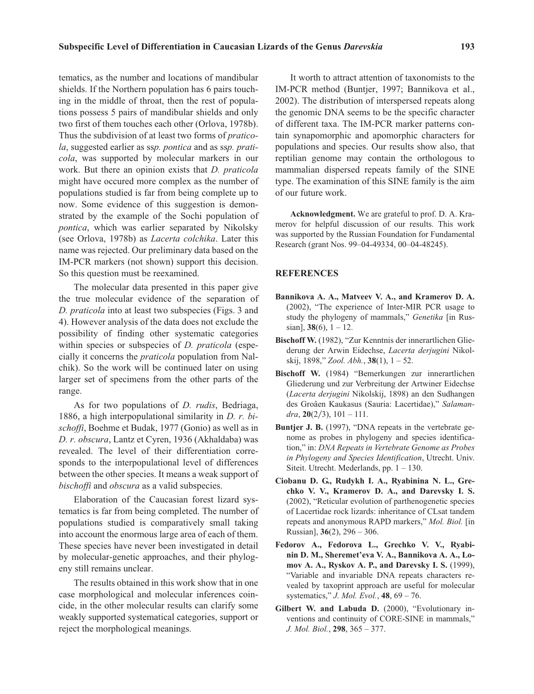tematics, as the number and locations of mandibular shields. If the Northern population has 6 pairs touching in the middle of throat, then the rest of populations possess 5 pairs of mandibular shields and only two first of them touches each other (Orlova, 1978b). Thus the subdivision of at least two forms of *praticola*, suggested earlier as ss*p. pontica* and as ss*p. praticola*, was supported by molecular markers in our work. But there an opinion exists that *D. praticola* might have occured more complex as the number of populations studied is far from being complete up to now. Some evidence of this suggestion is demonstrated by the example of the Sochi population of *pontica*, which was earlier separated by Nikolsky (see Orlova, 1978b) as *Lacerta colchika*. Later this name was rejected. Our preliminary data based on the IM-PCR markers (not shown) support this decision. So this question must be reexamined.

The molecular data presented in this paper give the true molecular evidence of the separation of *D. praticola* into at least two subspecies (Figs. 3 and 4). However analysis of the data does not exclude the possibility of finding other systematic categories within species or subspecies of *D. praticola* (especially it concerns the *praticola* population from Nalchik). So the work will be continued later on using larger set of specimens from the other parts of the range.

As for two populations of *D. rudis*, Bedriaga, 1886, a high interpopulational similarity in *D. r. bischoffi*, Boehme et Budak, 1977 (Gonio) as well as in *D. r. obscura*, Lantz et Cyren, 1936 (Akhaldaba) was revealed. The level of their differentiation corresponds to the interpopulational level of differences between the other species. It means a weak support of *bischoffi* and *obscura* as a valid subspecies.

Elaboration of the Caucasian forest lizard systematics is far from being completed. The number of populations studied is comparatively small taking into account the enormous large area of each of them. These species have never been investigated in detail by molecular-genetic approaches, and their phylogeny still remains unclear.

The results obtained in this work show that in one case morphological and molecular inferences coincide, in the other molecular results can clarify some weakly supported systematical categories, support or reject the morphological meanings.

It worth to attract attention of taxonomists to the IM-PCR method (Buntjer, 1997; Bannikova et al., 2002). The distribution of interspersed repeats along the genomic DNA seems to be the specific character of different taxa. The IM-PCR marker patterns contain synapomorphic and apomorphic characters for populations and species. Our results show also, that reptilian genome may contain the orthologous to mammalian dispersed repeats family of the SINE type. The examination of this SINE family is the aim of our future work.

**Acknowledgment.** We are grateful to prof. D. A. Kramerov for helpful discussion of our results. This work was supported by the Russian Foundation for Fundamental Research (grant Nos. 99–04-49334, 00–04-48245).

## **REFERENCES**

- **Bannikova A. A., Matveev V. A., and Kramerov D. A.** (2002), "The experience of Inter-MIR PCR usage to study the phylogeny of mammals," *Genetika* [in Russian], **38**(6), 1 – 12.
- **Bischoff W.** (1982), "Zur Kenntnis der innerartlichen Gliederung der Arwin Eidechse, *Lacerta derjugini* Nikolskij, 1898," *Zool. Abh.*, **38**(1), 1 – 52.
- **Bischoff W.** (1984) "Bemerkungen zur innerartlichen Gliederung und zur Verbreitung der Artwiner Eidechse (*Lacerta derjugini* Nikolskij, 1898) an den Sudhangen des Groâen Kaukasus (Sauria: Lacertidae)," *Salaman* $dra$ , **20**(2/3), 101 – 111.
- **Buntjer J. B.** (1997), "DNA repeats in the vertebrate genome as probes in phylogeny and species identification," in: *DNA Repeats in Vertebrate Genome as Probes in Phylogeny and Species Identification*, Utrecht. Univ. Siteit. Utrecht. Mederlands, pp. 1 – 130.
- **Ciobanu D. G., Rudykh I. A., Ryabinina N. L., Grechko V. V., Kramerov D. A., and Darevsky I. S.** (2002), "Reticular evolution of parthenogenetic species of Lacertidae rock lizards: inheritance of CLsat tandem repeats and anonymous RAPD markers," *Mol. Biol.* [in Russian], **36**(2), 296 – 306.
- **Fedorov A., Fedorova L., Grechko V. V., Ryabinin D. M., Sheremet'eva V. A., Bannikova A. A., Lomov A. A., Ryskov A. P., and Darevsky I. S.** (1999), "Variable and invariable DNA repeats characters revealed by taxoprint approach are useful for molecular systematics," *J. Mol. Evol.*, **48**, 69 – 76.
- **Gilbert W. and Labuda D.** (2000), "Evolutionary inventions and continuity of CORE-SINE in mammals," *J. Mol. Biol.*, **298**, 365 – 377.